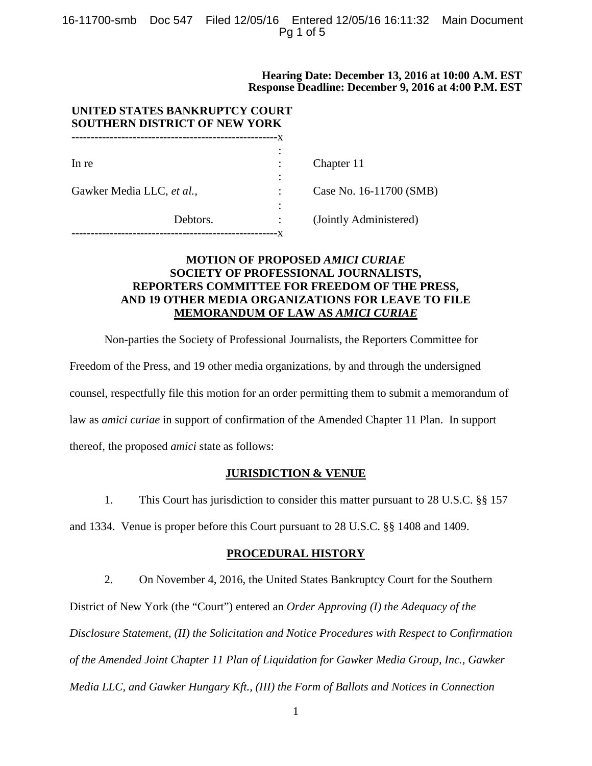## 16-11700-smb Doc 547 Filed 12/05/16 Entered 12/05/16 16:11:32 Main Document Pg 1 of 5

## **Hearing Date: December 13, 2016 at 10:00 A.M. EST Response Deadline: December 9, 2016 at 4:00 P.M. EST**

| UNITED STATES BANKRUPTCY COURT<br><b>SOUTHERN DISTRICT OF NEW YORK</b> |          |    |                         |  |
|------------------------------------------------------------------------|----------|----|-------------------------|--|
|                                                                        |          | -x |                         |  |
| In re                                                                  |          |    | Chapter 11              |  |
|                                                                        |          |    |                         |  |
| Gawker Media LLC, et al.,                                              |          |    | Case No. 16-11700 (SMB) |  |
|                                                                        |          |    |                         |  |
|                                                                        | Debtors. |    | (Jointly Administered)  |  |
|                                                                        |          |    |                         |  |

## **MOTION OF PROPOSED** *AMICI CURIAE* **SOCIETY OF PROFESSIONAL JOURNALISTS, REPORTERS COMMITTEE FOR FREEDOM OF THE PRESS, AND 19 OTHER MEDIA ORGANIZATIONS FOR LEAVE TO FILE MEMORANDUM OF LAW AS** *AMICI CURIAE*

Non-parties the Society of Professional Journalists, the Reporters Committee for

Freedom of the Press, and 19 other media organizations, by and through the undersigned counsel, respectfully file this motion for an order permitting them to submit a memorandum of law as *amici curiae* in support of confirmation of the Amended Chapter 11 Plan. In support thereof, the proposed *amici* state as follows:

## **JURISDICTION & VENUE**

1. This Court has jurisdiction to consider this matter pursuant to 28 U.S.C. §§ 157

and 1334. Venue is proper before this Court pursuant to 28 U.S.C. §§ 1408 and 1409.

## **PROCEDURAL HISTORY**

2. On November 4, 2016, the United States Bankruptcy Court for the Southern District of New York (the "Court") entered an *Order Approving (I) the Adequacy of the Disclosure Statement, (II) the Solicitation and Notice Procedures with Respect to Confirmation of the Amended Joint Chapter 11 Plan of Liquidation for Gawker Media Group, Inc., Gawker Media LLC, and Gawker Hungary Kft., (III) the Form of Ballots and Notices in Connection*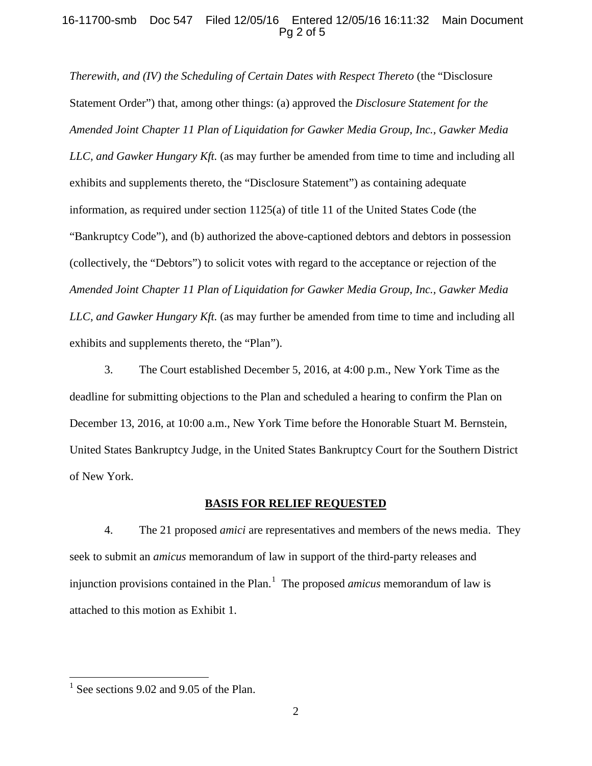## 16-11700-smb Doc 547 Filed 12/05/16 Entered 12/05/16 16:11:32 Main Document Pg 2 of 5

*Therewith, and (IV) the Scheduling of Certain Dates with Respect Thereto (the "Disclosure*") Statement Order") that, among other things: (a) approved the *Disclosure Statement for the Amended Joint Chapter 11 Plan of Liquidation for Gawker Media Group, Inc., Gawker Media LLC, and Gawker Hungary Kft.* (as may further be amended from time to time and including all exhibits and supplements thereto, the "Disclosure Statement") as containing adequate information, as required under section 1125(a) of title 11 of the United States Code (the "Bankruptcy Code"), and (b) authorized the above-captioned debtors and debtors in possession (collectively, the "Debtors") to solicit votes with regard to the acceptance or rejection of the *Amended Joint Chapter 11 Plan of Liquidation for Gawker Media Group, Inc., Gawker Media LLC, and Gawker Hungary Kft.* (as may further be amended from time to time and including all exhibits and supplements thereto, the "Plan").

3. The Court established December 5, 2016, at 4:00 p.m., New York Time as the deadline for submitting objections to the Plan and scheduled a hearing to confirm the Plan on December 13, 2016, at 10:00 a.m., New York Time before the Honorable Stuart M. Bernstein, United States Bankruptcy Judge, in the United States Bankruptcy Court for the Southern District of New York.

#### **BASIS FOR RELIEF REQUESTED**

4. The 21 proposed *amici* are representatives and members of the news media. They seek to submit an *amicus* memorandum of law in support of the third-party releases and injunction provisions contained in the Plan.<sup>1</sup> The proposed *amicus* memorandum of law is attached to this motion as Exhibit 1.

 $1$  See sections 9.02 and 9.05 of the Plan.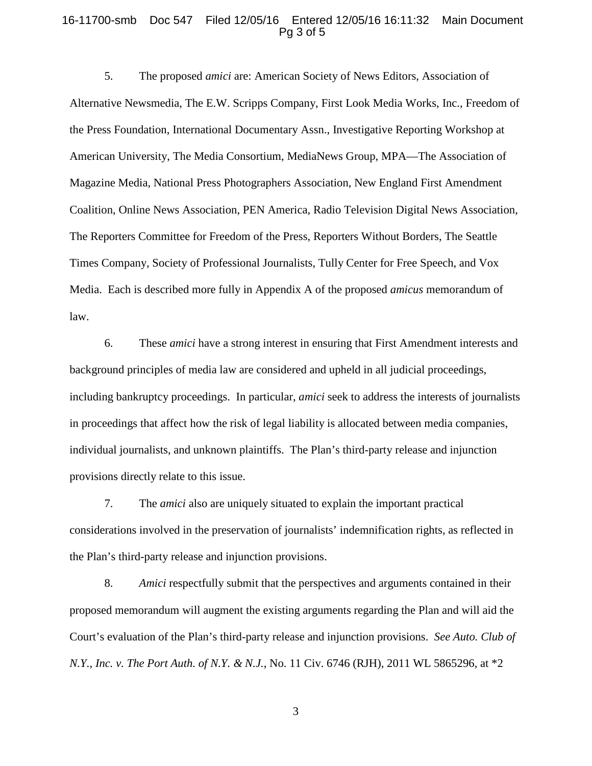#### 16-11700-smb Doc 547 Filed 12/05/16 Entered 12/05/16 16:11:32 Main Document Pg 3 of 5

5. The proposed *amici* are: American Society of News Editors, Association of Alternative Newsmedia, The E.W. Scripps Company, First Look Media Works, Inc., Freedom of the Press Foundation, International Documentary Assn., Investigative Reporting Workshop at American University, The Media Consortium, MediaNews Group, MPA—The Association of Magazine Media, National Press Photographers Association, New England First Amendment Coalition, Online News Association, PEN America, Radio Television Digital News Association, The Reporters Committee for Freedom of the Press, Reporters Without Borders, The Seattle Times Company, Society of Professional Journalists, Tully Center for Free Speech, and Vox Media. Each is described more fully in Appendix A of the proposed *amicus* memorandum of law.

6. These *amici* have a strong interest in ensuring that First Amendment interests and background principles of media law are considered and upheld in all judicial proceedings, including bankruptcy proceedings. In particular, *amici* seek to address the interests of journalists in proceedings that affect how the risk of legal liability is allocated between media companies, individual journalists, and unknown plaintiffs. The Plan's third-party release and injunction provisions directly relate to this issue.

7. The *amici* also are uniquely situated to explain the important practical considerations involved in the preservation of journalists' indemnification rights, as reflected in the Plan's third-party release and injunction provisions.

8. *Amici* respectfully submit that the perspectives and arguments contained in their proposed memorandum will augment the existing arguments regarding the Plan and will aid the Court's evaluation of the Plan's third-party release and injunction provisions. *See Auto. Club of N.Y., Inc. v. The Port Auth. of N.Y. & N.J.*, No. 11 Civ. 6746 (RJH), 2011 WL 5865296, at \*2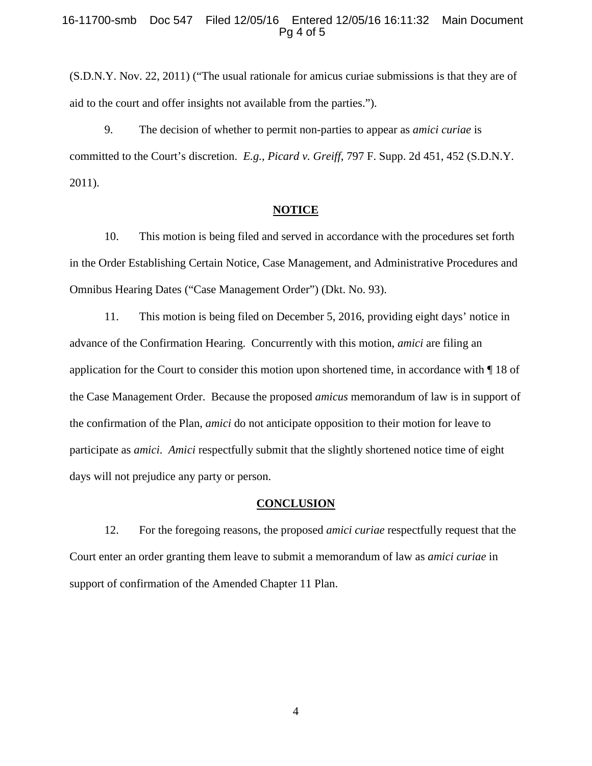#### 16-11700-smb Doc 547 Filed 12/05/16 Entered 12/05/16 16:11:32 Main Document Pg 4 of 5

(S.D.N.Y. Nov. 22, 2011) ("The usual rationale for amicus curiae submissions is that they are of aid to the court and offer insights not available from the parties.").

9. The decision of whether to permit non-parties to appear as *amici curiae* is committed to the Court's discretion. *E.g.*, *Picard v. Greiff*, 797 F. Supp. 2d 451, 452 (S.D.N.Y. 2011).

#### **NOTICE**

10. This motion is being filed and served in accordance with the procedures set forth in the Order Establishing Certain Notice, Case Management, and Administrative Procedures and Omnibus Hearing Dates ("Case Management Order") (Dkt. No. 93).

11. This motion is being filed on December 5, 2016, providing eight days' notice in advance of the Confirmation Hearing. Concurrently with this motion, *amici* are filing an application for the Court to consider this motion upon shortened time, in accordance with ¶ 18 of the Case Management Order. Because the proposed *amicus* memorandum of law is in support of the confirmation of the Plan, *amici* do not anticipate opposition to their motion for leave to participate as *amici*. *Amici* respectfully submit that the slightly shortened notice time of eight days will not prejudice any party or person.

#### **CONCLUSION**

12. For the foregoing reasons, the proposed *amici curiae* respectfully request that the Court enter an order granting them leave to submit a memorandum of law as *amici curiae* in support of confirmation of the Amended Chapter 11 Plan.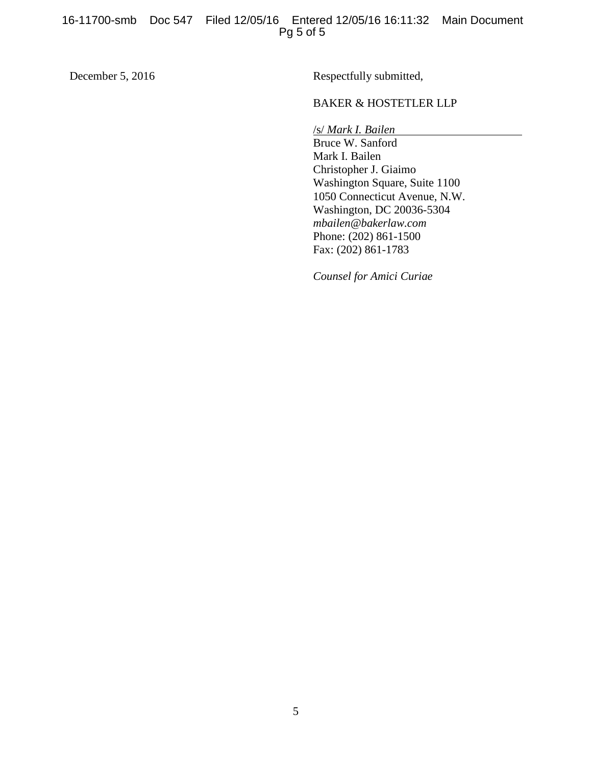December 5, 2016 Respectfully submitted,

## BAKER & HOSTETLER LLP

/s/ *Mark I. Bailen*

Bruce W. Sanford Mark I. Bailen Christopher J. Giaimo Washington Square, Suite 1100 1050 Connecticut Avenue, N.W. Washington, DC 20036-5304 *mbailen@bakerlaw.com* Phone: (202) 861-1500 Fax: (202) 861-1783

*Counsel for Amici Curiae*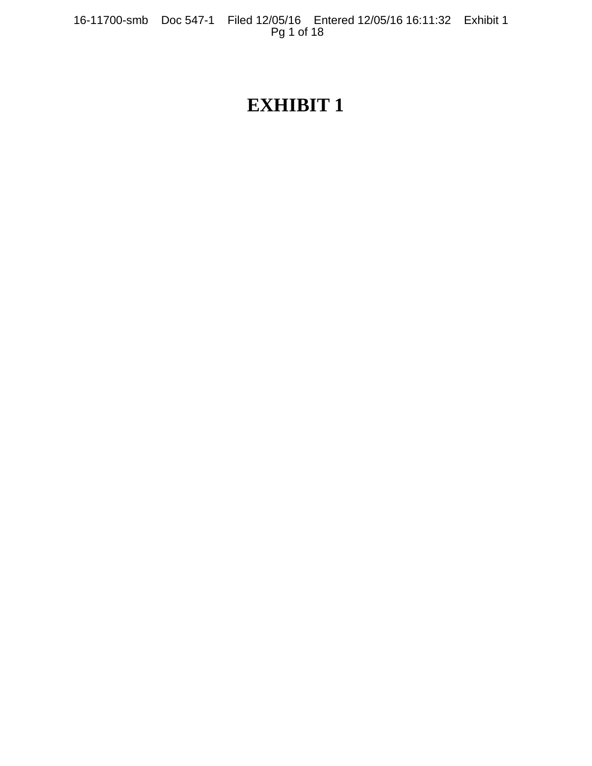16-11700-smb Doc 547-1 Filed 12/05/16 Entered 12/05/16 16:11:32 Exhibit 1 Pg 1 of 18

# **EXHIBIT 1**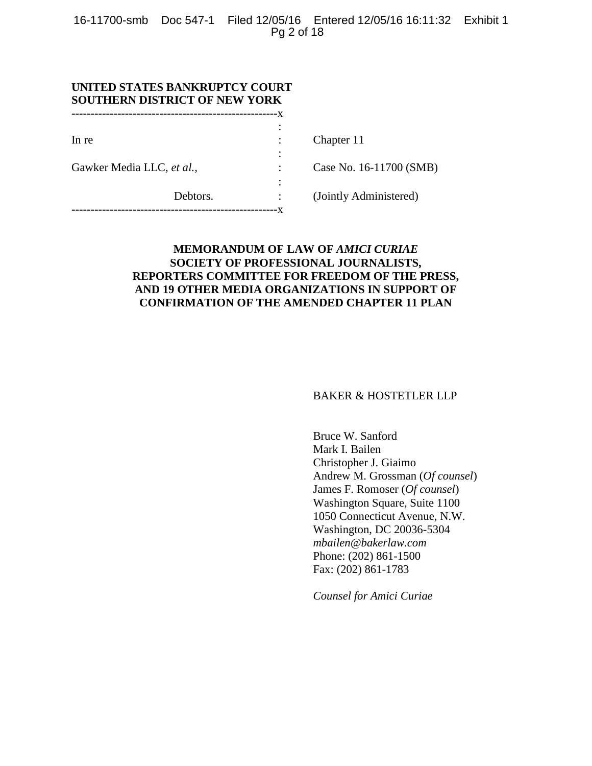16-11700-smb Doc 547-1 Filed 12/05/16 Entered 12/05/16 16:11:32 Exhibit 1 Pg 2 of 18

:

:

| UNITED STATES BANKRUPTCY COURT<br><b>SOUTHERN DISTRICT OF NEW YORK</b> |                          |                 |  |  |
|------------------------------------------------------------------------|--------------------------|-----------------|--|--|
|                                                                        |                          |                 |  |  |
|                                                                        |                          |                 |  |  |
| In re                                                                  | <b>Contract Contract</b> | Ch <sub>a</sub> |  |  |

Gawker Media LLC, *et al.*, <br> : Case No. 16-11700 (SMB)

npter 11

**------------------------------------------------------**x

Debtors. : (Jointly Administered)

## **MEMORANDUM OF LAW OF** *AMICI CURIAE* **SOCIETY OF PROFESSIONAL JOURNALISTS, REPORTERS COMMITTEE FOR FREEDOM OF THE PRESS, AND 19 OTHER MEDIA ORGANIZATIONS IN SUPPORT OF CONFIRMATION OF THE AMENDED CHAPTER 11 PLAN**

BAKER & HOSTETLER LLP

Bruce W. Sanford Mark I. Bailen Christopher J. Giaimo Andrew M. Grossman (*Of counsel*) James F. Romoser (*Of counsel*) Washington Square, Suite 1100 1050 Connecticut Avenue, N.W. Washington, DC 20036-5304 *mbailen@bakerlaw.com* Phone: (202) 861-1500 Fax: (202) 861-1783

*Counsel for Amici Curiae*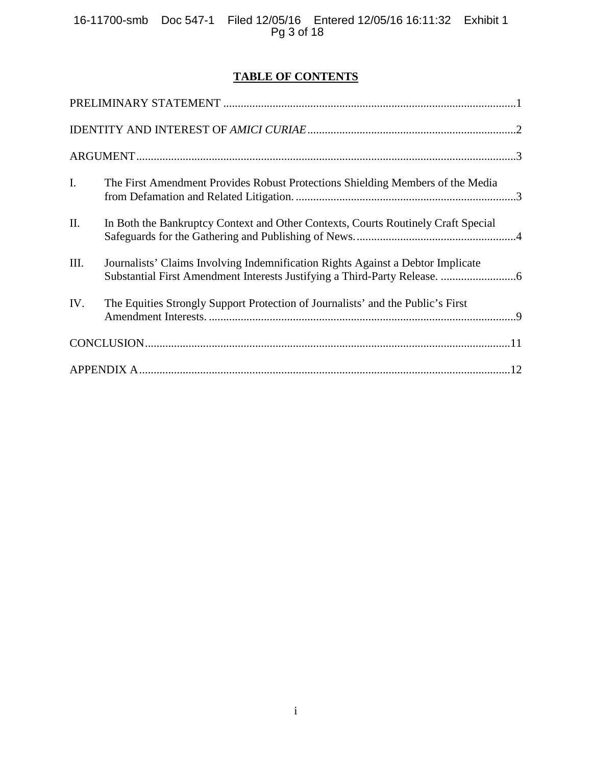16-11700-smb Doc 547-1 Filed 12/05/16 Entered 12/05/16 16:11:32 Exhibit 1 Pg 3 of 18

## **TABLE OF CONTENTS**

| $\mathbf{I}$ . | The First Amendment Provides Robust Protections Shielding Members of the Media    |  |
|----------------|-----------------------------------------------------------------------------------|--|
| II.            | In Both the Bankruptcy Context and Other Contexts, Courts Routinely Craft Special |  |
| III.           | Journalists' Claims Involving Indemnification Rights Against a Debtor Implicate   |  |
| IV.            | The Equities Strongly Support Protection of Journalists' and the Public's First   |  |
|                |                                                                                   |  |
|                |                                                                                   |  |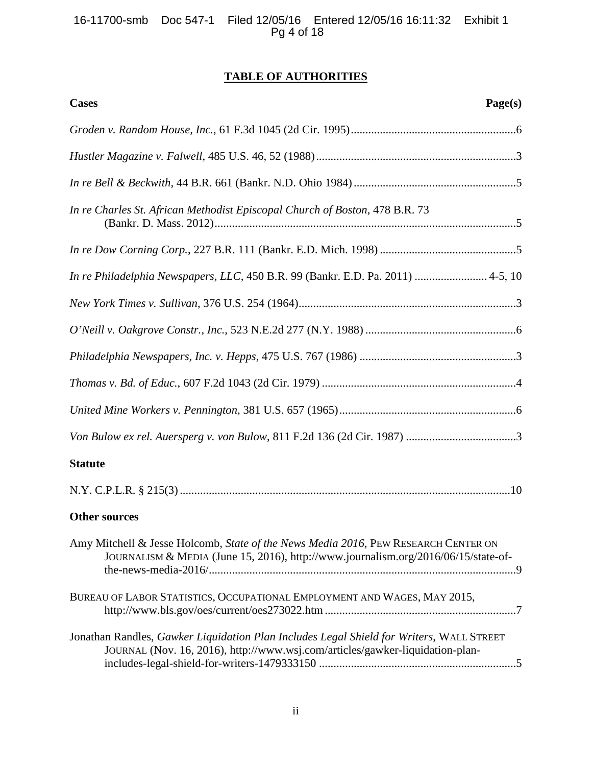# **TABLE OF AUTHORITIES**

| <b>Cases</b><br>Page(s)                                                                                                                                                   |
|---------------------------------------------------------------------------------------------------------------------------------------------------------------------------|
|                                                                                                                                                                           |
|                                                                                                                                                                           |
|                                                                                                                                                                           |
| In re Charles St. African Methodist Episcopal Church of Boston, 478 B.R. 73                                                                                               |
|                                                                                                                                                                           |
| In re Philadelphia Newspapers, LLC, 450 B.R. 99 (Bankr. E.D. Pa. 2011)  4-5, 10                                                                                           |
|                                                                                                                                                                           |
|                                                                                                                                                                           |
|                                                                                                                                                                           |
|                                                                                                                                                                           |
|                                                                                                                                                                           |
|                                                                                                                                                                           |
| <b>Statute</b>                                                                                                                                                            |
|                                                                                                                                                                           |
| <b>Other sources</b>                                                                                                                                                      |
| Amy Mitchell & Jesse Holcomb, State of the News Media 2016, PEW RESEARCH CENTER ON<br>JOURNALISM & MEDIA (June 15, 2016), http://www.journalism.org/2016/06/15/state-of-  |
| BUREAU OF LABOR STATISTICS, OCCUPATIONAL EMPLOYMENT AND WAGES, MAY 2015,                                                                                                  |
| Jonathan Randles, Gawker Liquidation Plan Includes Legal Shield for Writers, WALL STREET<br>JOURNAL (Nov. 16, 2016), http://www.wsj.com/articles/gawker-liquidation-plan- |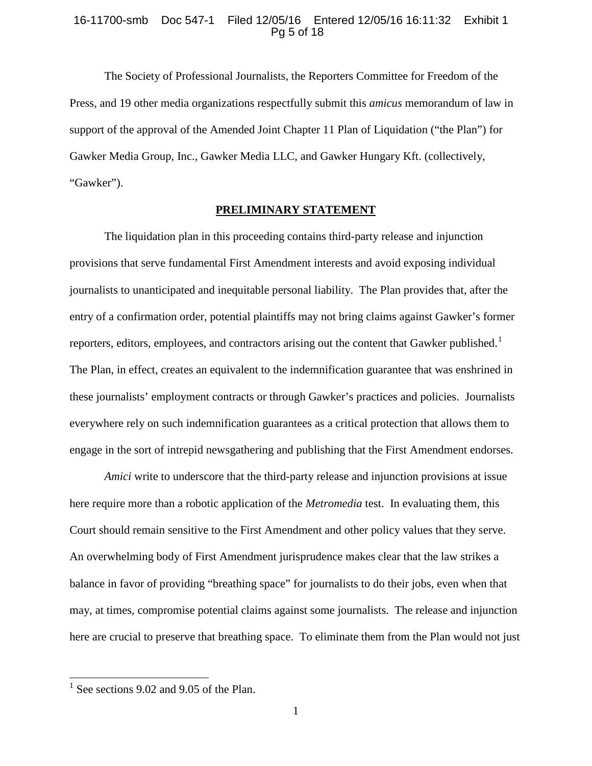#### 16-11700-smb Doc 547-1 Filed 12/05/16 Entered 12/05/16 16:11:32 Exhibit 1 Pg 5 of 18

The Society of Professional Journalists, the Reporters Committee for Freedom of the Press, and 19 other media organizations respectfully submit this *amicus* memorandum of law in support of the approval of the Amended Joint Chapter 11 Plan of Liquidation ("the Plan") for Gawker Media Group, Inc., Gawker Media LLC, and Gawker Hungary Kft. (collectively, "Gawker").

## **PRELIMINARY STATEMENT**

The liquidation plan in this proceeding contains third-party release and injunction provisions that serve fundamental First Amendment interests and avoid exposing individual journalists to unanticipated and inequitable personal liability. The Plan provides that, after the entry of a confirmation order, potential plaintiffs may not bring claims against Gawker's former reporters, editors, employees, and contractors arising out the content that Gawker published.<sup>1</sup> The Plan, in effect, creates an equivalent to the indemnification guarantee that was enshrined in these journalists' employment contracts or through Gawker's practices and policies. Journalists everywhere rely on such indemnification guarantees as a critical protection that allows them to engage in the sort of intrepid newsgathering and publishing that the First Amendment endorses.

*Amici* write to underscore that the third-party release and injunction provisions at issue here require more than a robotic application of the *Metromedia* test. In evaluating them, this Court should remain sensitive to the First Amendment and other policy values that they serve. An overwhelming body of First Amendment jurisprudence makes clear that the law strikes a balance in favor of providing "breathing space" for journalists to do their jobs, even when that may, at times, compromise potential claims against some journalists. The release and injunction here are crucial to preserve that breathing space. To eliminate them from the Plan would not just

 $1$  See sections 9.02 and 9.05 of the Plan.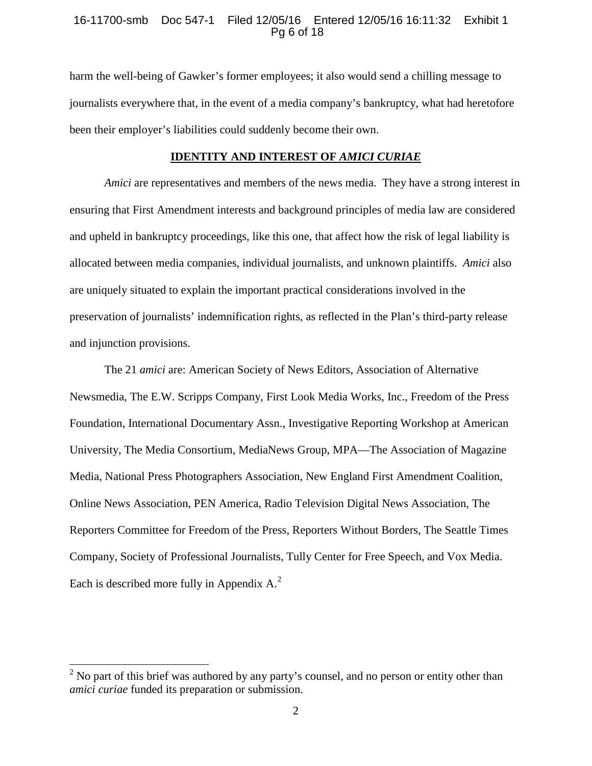## 16-11700-smb Doc 547-1 Filed 12/05/16 Entered 12/05/16 16:11:32 Exhibit 1 Pg 6 of 18

harm the well-being of Gawker's former employees; it also would send a chilling message to journalists everywhere that, in the event of a media company's bankruptcy, what had heretofore been their employer's liabilities could suddenly become their own.

#### **IDENTITY AND INTEREST OF** *AMICI CURIAE*

*Amici* are representatives and members of the news media. They have a strong interest in ensuring that First Amendment interests and background principles of media law are considered and upheld in bankruptcy proceedings, like this one, that affect how the risk of legal liability is allocated between media companies, individual journalists, and unknown plaintiffs. *Amici* also are uniquely situated to explain the important practical considerations involved in the preservation of journalists' indemnification rights, as reflected in the Plan's third-party release and injunction provisions.

The 21 *amici* are: American Society of News Editors, Association of Alternative Newsmedia, The E.W. Scripps Company, First Look Media Works, Inc., Freedom of the Press Foundation, International Documentary Assn., Investigative Reporting Workshop at American University, The Media Consortium, MediaNews Group, MPA—The Association of Magazine Media, National Press Photographers Association, New England First Amendment Coalition, Online News Association, PEN America, Radio Television Digital News Association, The Reporters Committee for Freedom of the Press, Reporters Without Borders, The Seattle Times Company, Society of Professional Journalists, Tully Center for Free Speech, and Vox Media. Each is described more fully in Appendix  $A<sup>2</sup>$ .

 $2$  No part of this brief was authored by any party's counsel, and no person or entity other than *amici curiae* funded its preparation or submission.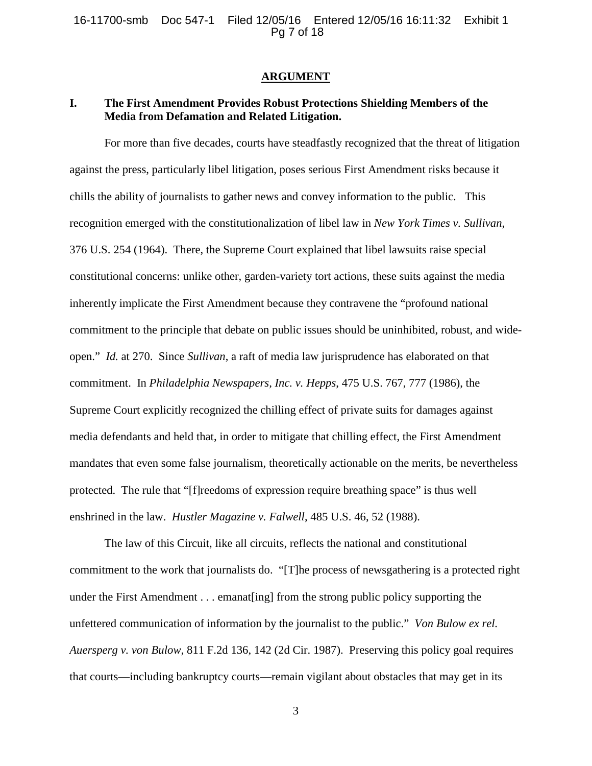#### **ARGUMENT**

## **I. The First Amendment Provides Robust Protections Shielding Members of the Media from Defamation and Related Litigation.**

For more than five decades, courts have steadfastly recognized that the threat of litigation against the press, particularly libel litigation, poses serious First Amendment risks because it chills the ability of journalists to gather news and convey information to the public. This recognition emerged with the constitutionalization of libel law in *New York Times v. Sullivan*, 376 U.S. 254 (1964). There, the Supreme Court explained that libel lawsuits raise special constitutional concerns: unlike other, garden-variety tort actions, these suits against the media inherently implicate the First Amendment because they contravene the "profound national commitment to the principle that debate on public issues should be uninhibited, robust, and wideopen." *Id.* at 270. Since *Sullivan*, a raft of media law jurisprudence has elaborated on that commitment. In *Philadelphia Newspapers, Inc. v. Hepps*, 475 U.S. 767, 777 (1986), the Supreme Court explicitly recognized the chilling effect of private suits for damages against media defendants and held that, in order to mitigate that chilling effect, the First Amendment mandates that even some false journalism, theoretically actionable on the merits, be nevertheless protected. The rule that "[f]reedoms of expression require breathing space" is thus well enshrined in the law. *Hustler Magazine v. Falwell*, 485 U.S. 46, 52 (1988).

The law of this Circuit, like all circuits, reflects the national and constitutional commitment to the work that journalists do. "[T]he process of newsgathering is a protected right under the First Amendment . . . emanat[ing] from the strong public policy supporting the unfettered communication of information by the journalist to the public." *Von Bulow ex rel. Auersperg v. von Bulow*, 811 F.2d 136, 142 (2d Cir. 1987). Preserving this policy goal requires that courts—including bankruptcy courts—remain vigilant about obstacles that may get in its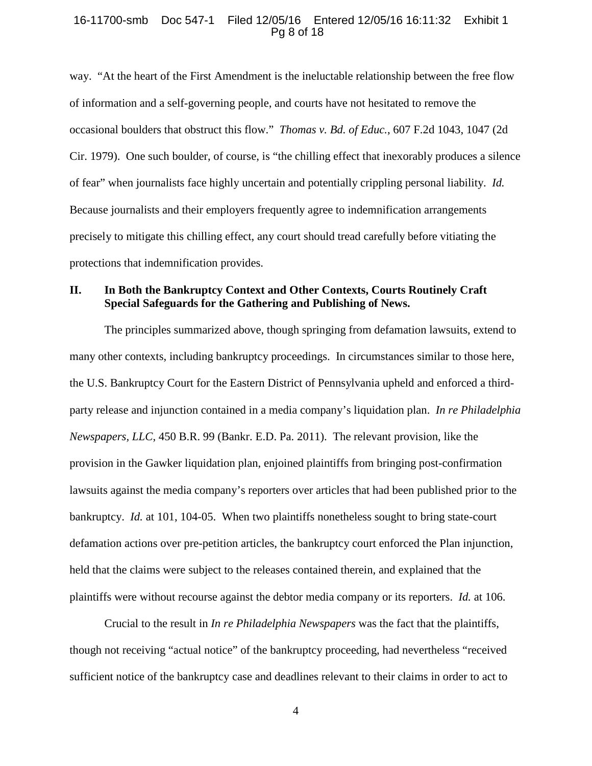#### 16-11700-smb Doc 547-1 Filed 12/05/16 Entered 12/05/16 16:11:32 Exhibit 1 Pg 8 of 18

way. "At the heart of the First Amendment is the ineluctable relationship between the free flow of information and a self-governing people, and courts have not hesitated to remove the occasional boulders that obstruct this flow." *Thomas v. Bd. of Educ.*, 607 F.2d 1043, 1047 (2d Cir. 1979). One such boulder, of course, is "the chilling effect that inexorably produces a silence of fear" when journalists face highly uncertain and potentially crippling personal liability. *Id.* Because journalists and their employers frequently agree to indemnification arrangements precisely to mitigate this chilling effect, any court should tread carefully before vitiating the protections that indemnification provides.

## **II. In Both the Bankruptcy Context and Other Contexts, Courts Routinely Craft Special Safeguards for the Gathering and Publishing of News.**

The principles summarized above, though springing from defamation lawsuits, extend to many other contexts, including bankruptcy proceedings. In circumstances similar to those here, the U.S. Bankruptcy Court for the Eastern District of Pennsylvania upheld and enforced a thirdparty release and injunction contained in a media company's liquidation plan. *In re Philadelphia Newspapers, LLC*, 450 B.R. 99 (Bankr. E.D. Pa. 2011). The relevant provision, like the provision in the Gawker liquidation plan, enjoined plaintiffs from bringing post-confirmation lawsuits against the media company's reporters over articles that had been published prior to the bankruptcy. *Id.* at 101, 104-05. When two plaintiffs nonetheless sought to bring state-court defamation actions over pre-petition articles, the bankruptcy court enforced the Plan injunction, held that the claims were subject to the releases contained therein, and explained that the plaintiffs were without recourse against the debtor media company or its reporters. *Id.* at 106.

Crucial to the result in *In re Philadelphia Newspapers* was the fact that the plaintiffs, though not receiving "actual notice" of the bankruptcy proceeding, had nevertheless "received sufficient notice of the bankruptcy case and deadlines relevant to their claims in order to act to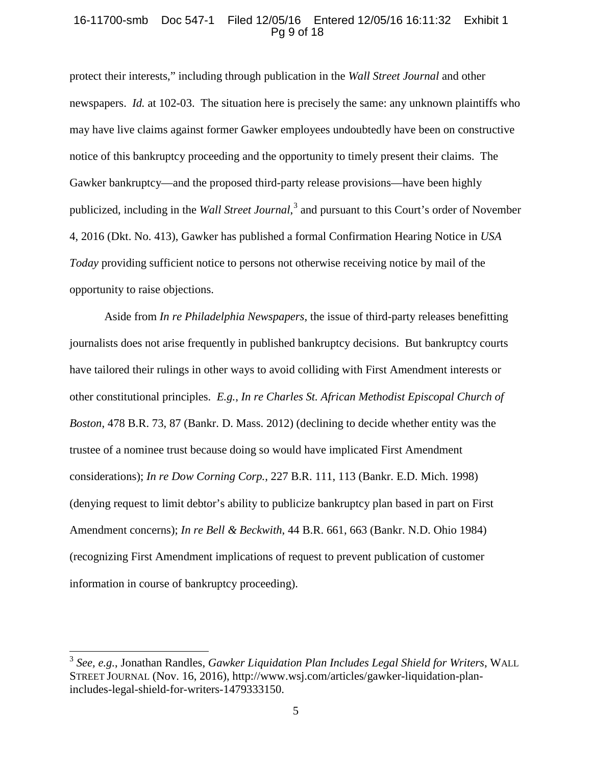## 16-11700-smb Doc 547-1 Filed 12/05/16 Entered 12/05/16 16:11:32 Exhibit 1 Pg 9 of 18

protect their interests," including through publication in the *Wall Street Journal* and other newspapers. *Id.* at 102-03. The situation here is precisely the same: any unknown plaintiffs who may have live claims against former Gawker employees undoubtedly have been on constructive notice of this bankruptcy proceeding and the opportunity to timely present their claims. The Gawker bankruptcy—and the proposed third-party release provisions—have been highly publicized, including in the *Wall Street Journal*, <sup>3</sup> and pursuant to this Court's order of November 4, 2016 (Dkt. No. 413), Gawker has published a formal Confirmation Hearing Notice in *USA Today* providing sufficient notice to persons not otherwise receiving notice by mail of the opportunity to raise objections.

Aside from *In re Philadelphia Newspapers*, the issue of third-party releases benefitting journalists does not arise frequently in published bankruptcy decisions. But bankruptcy courts have tailored their rulings in other ways to avoid colliding with First Amendment interests or other constitutional principles. *E.g.*, *In re Charles St. African Methodist Episcopal Church of Boston*, 478 B.R. 73, 87 (Bankr. D. Mass. 2012) (declining to decide whether entity was the trustee of a nominee trust because doing so would have implicated First Amendment considerations); *In re Dow Corning Corp.*, 227 B.R. 111, 113 (Bankr. E.D. Mich. 1998) (denying request to limit debtor's ability to publicize bankruptcy plan based in part on First Amendment concerns); *In re Bell & Beckwith*, 44 B.R. 661, 663 (Bankr. N.D. Ohio 1984) (recognizing First Amendment implications of request to prevent publication of customer information in course of bankruptcy proceeding).

<sup>3</sup> *See, e.g.*, Jonathan Randles, *Gawker Liquidation Plan Includes Legal Shield for Writers*, WALL STREET JOURNAL (Nov. 16, 2016), http://www.wsj.com/articles/gawker-liquidation-planincludes-legal-shield-for-writers-1479333150.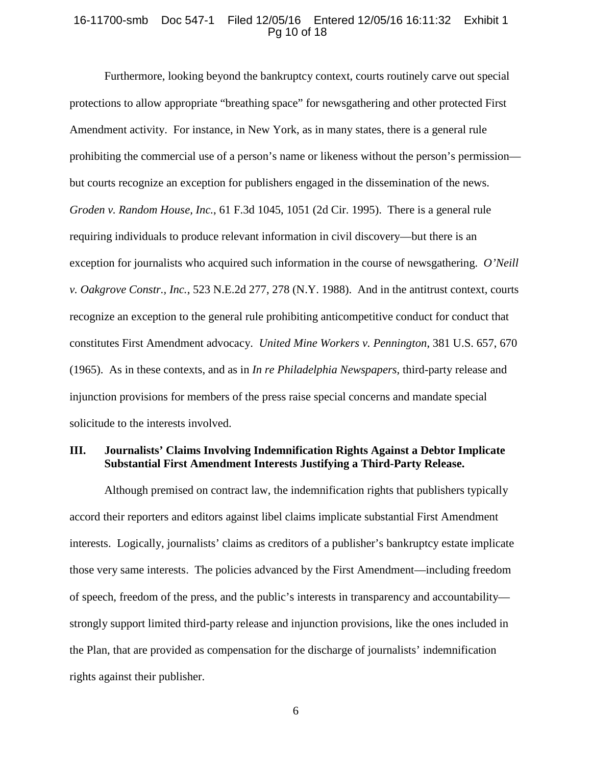#### 16-11700-smb Doc 547-1 Filed 12/05/16 Entered 12/05/16 16:11:32 Exhibit 1 Pg 10 of 18

Furthermore, looking beyond the bankruptcy context, courts routinely carve out special protections to allow appropriate "breathing space" for newsgathering and other protected First Amendment activity. For instance, in New York, as in many states, there is a general rule prohibiting the commercial use of a person's name or likeness without the person's permission but courts recognize an exception for publishers engaged in the dissemination of the news. *Groden v. Random House, Inc.*, 61 F.3d 1045, 1051 (2d Cir. 1995). There is a general rule requiring individuals to produce relevant information in civil discovery—but there is an exception for journalists who acquired such information in the course of newsgathering. *O'Neill v. Oakgrove Constr., Inc.*, 523 N.E.2d 277, 278 (N.Y. 1988). And in the antitrust context, courts recognize an exception to the general rule prohibiting anticompetitive conduct for conduct that constitutes First Amendment advocacy. *United Mine Workers v. Pennington*, 381 U.S. 657, 670 (1965). As in these contexts, and as in *In re Philadelphia Newspapers*, third-party release and injunction provisions for members of the press raise special concerns and mandate special solicitude to the interests involved.

## **III. Journalists' Claims Involving Indemnification Rights Against a Debtor Implicate Substantial First Amendment Interests Justifying a Third-Party Release.**

Although premised on contract law, the indemnification rights that publishers typically accord their reporters and editors against libel claims implicate substantial First Amendment interests. Logically, journalists' claims as creditors of a publisher's bankruptcy estate implicate those very same interests. The policies advanced by the First Amendment—including freedom of speech, freedom of the press, and the public's interests in transparency and accountability strongly support limited third-party release and injunction provisions, like the ones included in the Plan, that are provided as compensation for the discharge of journalists' indemnification rights against their publisher.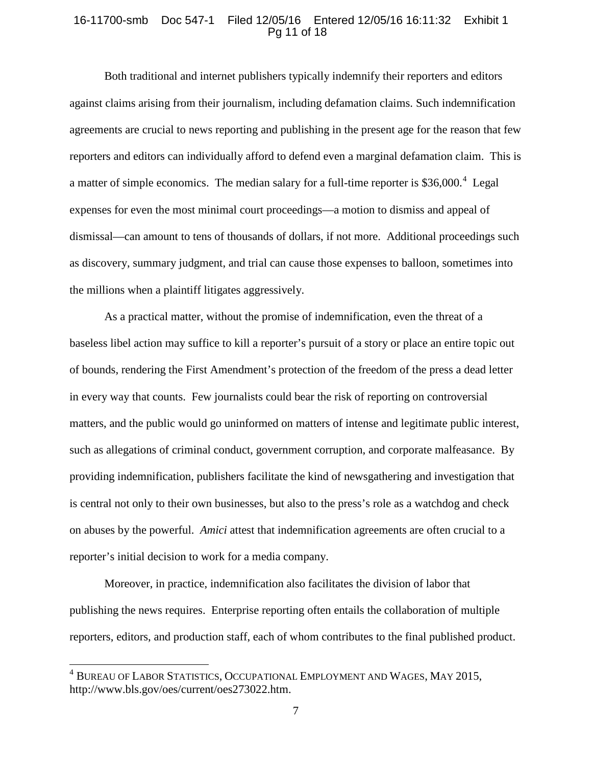## 16-11700-smb Doc 547-1 Filed 12/05/16 Entered 12/05/16 16:11:32 Exhibit 1 Pg 11 of 18

Both traditional and internet publishers typically indemnify their reporters and editors against claims arising from their journalism, including defamation claims. Such indemnification agreements are crucial to news reporting and publishing in the present age for the reason that few reporters and editors can individually afford to defend even a marginal defamation claim. This is a matter of simple economics. The median salary for a full-time reporter is  $$36,000.<sup>4</sup>$  Legal expenses for even the most minimal court proceedings—a motion to dismiss and appeal of dismissal—can amount to tens of thousands of dollars, if not more. Additional proceedings such as discovery, summary judgment, and trial can cause those expenses to balloon, sometimes into the millions when a plaintiff litigates aggressively.

As a practical matter, without the promise of indemnification, even the threat of a baseless libel action may suffice to kill a reporter's pursuit of a story or place an entire topic out of bounds, rendering the First Amendment's protection of the freedom of the press a dead letter in every way that counts. Few journalists could bear the risk of reporting on controversial matters, and the public would go uninformed on matters of intense and legitimate public interest, such as allegations of criminal conduct, government corruption, and corporate malfeasance. By providing indemnification, publishers facilitate the kind of newsgathering and investigation that is central not only to their own businesses, but also to the press's role as a watchdog and check on abuses by the powerful. *Amici* attest that indemnification agreements are often crucial to a reporter's initial decision to work for a media company.

Moreover, in practice, indemnification also facilitates the division of labor that publishing the news requires. Enterprise reporting often entails the collaboration of multiple reporters, editors, and production staff, each of whom contributes to the final published product.

<sup>4</sup> BUREAU OF LABOR STATISTICS, OCCUPATIONAL EMPLOYMENT AND WAGES, MAY 2015, http://www.bls.gov/oes/current/oes273022.htm.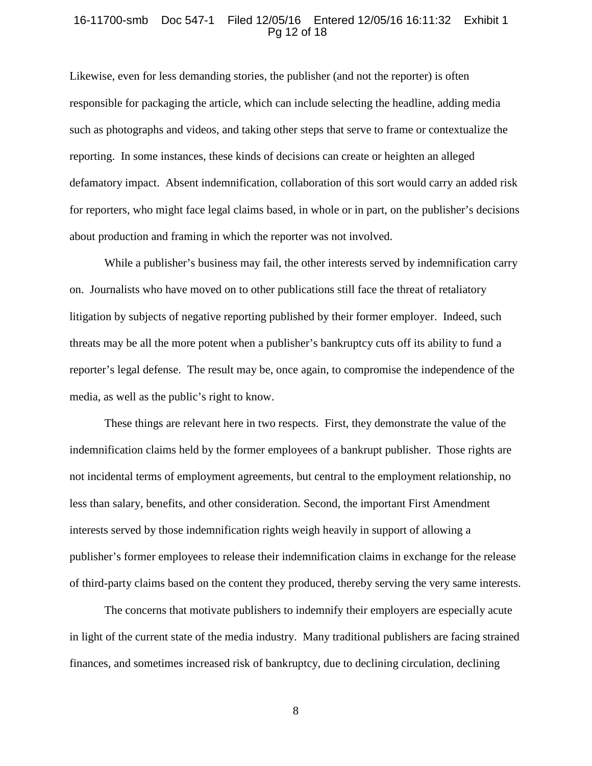#### 16-11700-smb Doc 547-1 Filed 12/05/16 Entered 12/05/16 16:11:32 Exhibit 1 Pg 12 of 18

Likewise, even for less demanding stories, the publisher (and not the reporter) is often responsible for packaging the article, which can include selecting the headline, adding media such as photographs and videos, and taking other steps that serve to frame or contextualize the reporting. In some instances, these kinds of decisions can create or heighten an alleged defamatory impact. Absent indemnification, collaboration of this sort would carry an added risk for reporters, who might face legal claims based, in whole or in part, on the publisher's decisions about production and framing in which the reporter was not involved.

While a publisher's business may fail, the other interests served by indemnification carry on. Journalists who have moved on to other publications still face the threat of retaliatory litigation by subjects of negative reporting published by their former employer. Indeed, such threats may be all the more potent when a publisher's bankruptcy cuts off its ability to fund a reporter's legal defense. The result may be, once again, to compromise the independence of the media, as well as the public's right to know.

These things are relevant here in two respects. First, they demonstrate the value of the indemnification claims held by the former employees of a bankrupt publisher. Those rights are not incidental terms of employment agreements, but central to the employment relationship, no less than salary, benefits, and other consideration. Second, the important First Amendment interests served by those indemnification rights weigh heavily in support of allowing a publisher's former employees to release their indemnification claims in exchange for the release of third-party claims based on the content they produced, thereby serving the very same interests.

The concerns that motivate publishers to indemnify their employers are especially acute in light of the current state of the media industry. Many traditional publishers are facing strained finances, and sometimes increased risk of bankruptcy, due to declining circulation, declining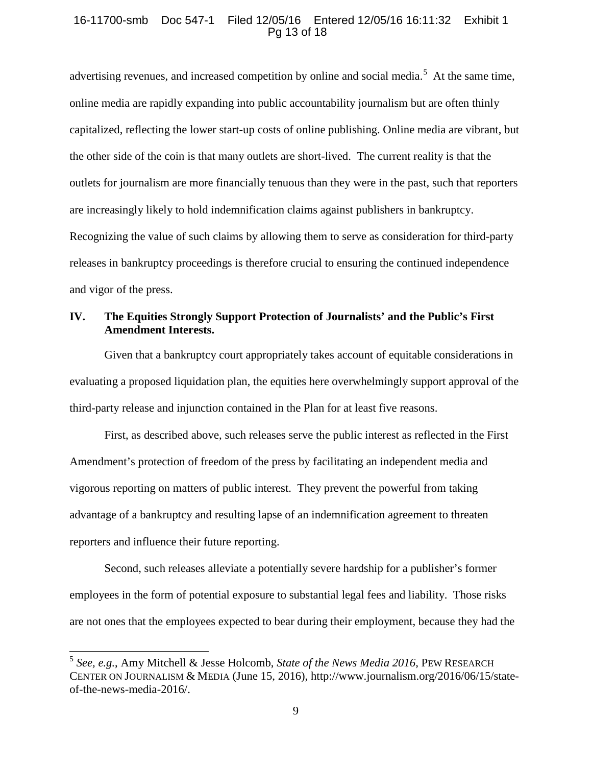## 16-11700-smb Doc 547-1 Filed 12/05/16 Entered 12/05/16 16:11:32 Exhibit 1 Pg 13 of 18

advertising revenues, and increased competition by online and social media.<sup>5</sup> At the same time, online media are rapidly expanding into public accountability journalism but are often thinly capitalized, reflecting the lower start-up costs of online publishing. Online media are vibrant, but the other side of the coin is that many outlets are short-lived. The current reality is that the outlets for journalism are more financially tenuous than they were in the past, such that reporters are increasingly likely to hold indemnification claims against publishers in bankruptcy. Recognizing the value of such claims by allowing them to serve as consideration for third-party releases in bankruptcy proceedings is therefore crucial to ensuring the continued independence and vigor of the press.

## **IV. The Equities Strongly Support Protection of Journalists' and the Public's First Amendment Interests.**

Given that a bankruptcy court appropriately takes account of equitable considerations in evaluating a proposed liquidation plan, the equities here overwhelmingly support approval of the third-party release and injunction contained in the Plan for at least five reasons.

First, as described above, such releases serve the public interest as reflected in the First Amendment's protection of freedom of the press by facilitating an independent media and vigorous reporting on matters of public interest. They prevent the powerful from taking advantage of a bankruptcy and resulting lapse of an indemnification agreement to threaten reporters and influence their future reporting.

Second, such releases alleviate a potentially severe hardship for a publisher's former employees in the form of potential exposure to substantial legal fees and liability. Those risks are not ones that the employees expected to bear during their employment, because they had the

<sup>5</sup> *See, e.g.*, Amy Mitchell & Jesse Holcomb, *State of the News Media 2016*, PEW RESEARCH CENTER ON JOURNALISM & MEDIA (June 15, 2016), http://www.journalism.org/2016/06/15/stateof-the-news-media-2016/.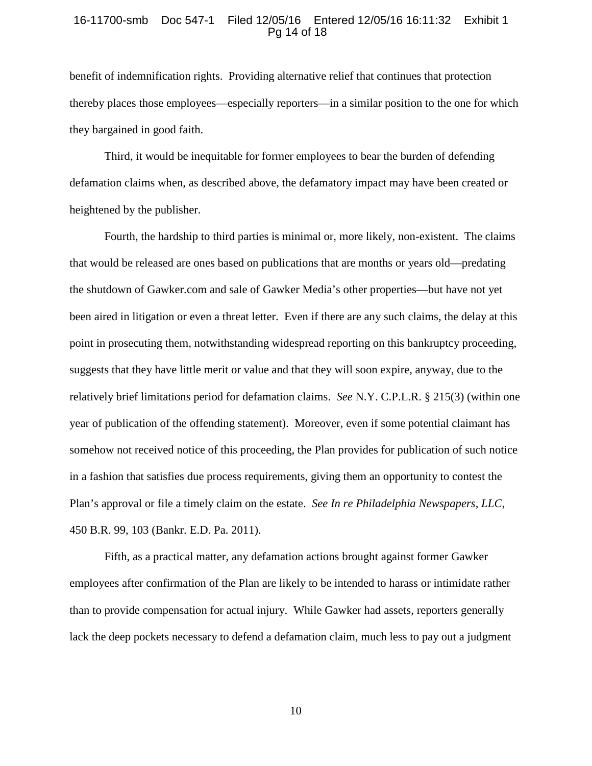#### 16-11700-smb Doc 547-1 Filed 12/05/16 Entered 12/05/16 16:11:32 Exhibit 1 Pg 14 of 18

benefit of indemnification rights. Providing alternative relief that continues that protection thereby places those employees—especially reporters—in a similar position to the one for which they bargained in good faith.

Third, it would be inequitable for former employees to bear the burden of defending defamation claims when, as described above, the defamatory impact may have been created or heightened by the publisher.

Fourth, the hardship to third parties is minimal or, more likely, non-existent. The claims that would be released are ones based on publications that are months or years old—predating the shutdown of Gawker.com and sale of Gawker Media's other properties—but have not yet been aired in litigation or even a threat letter. Even if there are any such claims, the delay at this point in prosecuting them, notwithstanding widespread reporting on this bankruptcy proceeding, suggests that they have little merit or value and that they will soon expire, anyway, due to the relatively brief limitations period for defamation claims. *See* N.Y. C.P.L.R. § 215(3) (within one year of publication of the offending statement). Moreover, even if some potential claimant has somehow not received notice of this proceeding, the Plan provides for publication of such notice in a fashion that satisfies due process requirements, giving them an opportunity to contest the Plan's approval or file a timely claim on the estate. *See In re Philadelphia Newspapers, LLC*, 450 B.R. 99, 103 (Bankr. E.D. Pa. 2011).

Fifth, as a practical matter, any defamation actions brought against former Gawker employees after confirmation of the Plan are likely to be intended to harass or intimidate rather than to provide compensation for actual injury. While Gawker had assets, reporters generally lack the deep pockets necessary to defend a defamation claim, much less to pay out a judgment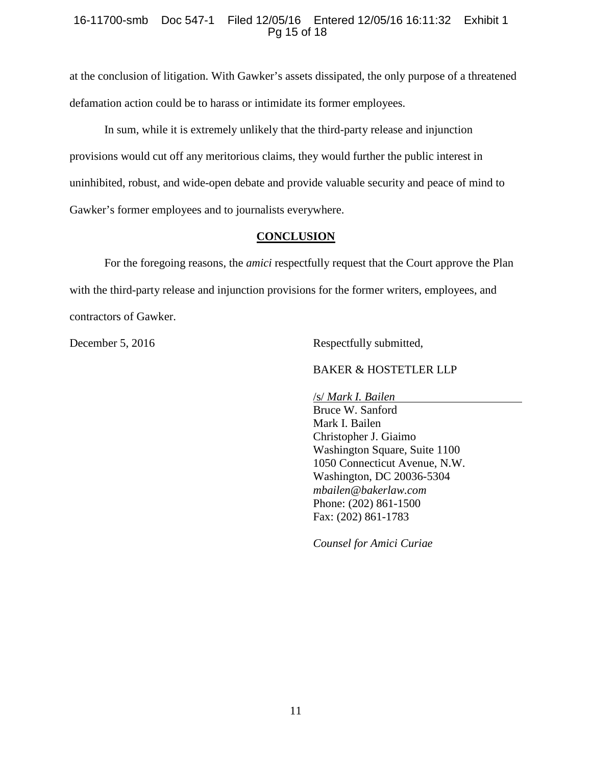## 16-11700-smb Doc 547-1 Filed 12/05/16 Entered 12/05/16 16:11:32 Exhibit 1 Pg 15 of 18

at the conclusion of litigation. With Gawker's assets dissipated, the only purpose of a threatened defamation action could be to harass or intimidate its former employees.

In sum, while it is extremely unlikely that the third-party release and injunction provisions would cut off any meritorious claims, they would further the public interest in uninhibited, robust, and wide-open debate and provide valuable security and peace of mind to Gawker's former employees and to journalists everywhere.

## **CONCLUSION**

For the foregoing reasons, the *amici* respectfully request that the Court approve the Plan with the third-party release and injunction provisions for the former writers, employees, and contractors of Gawker.

December 5, 2016 Respectfully submitted,

## BAKER & HOSTETLER LLP

/s/ *Mark I. Bailen* Bruce W. Sanford Mark I. Bailen Christopher J. Giaimo Washington Square, Suite 1100 1050 Connecticut Avenue, N.W. Washington, DC 20036-5304 *mbailen@bakerlaw.com* Phone: (202) 861-1500 Fax: (202) 861-1783

*Counsel for Amici Curiae*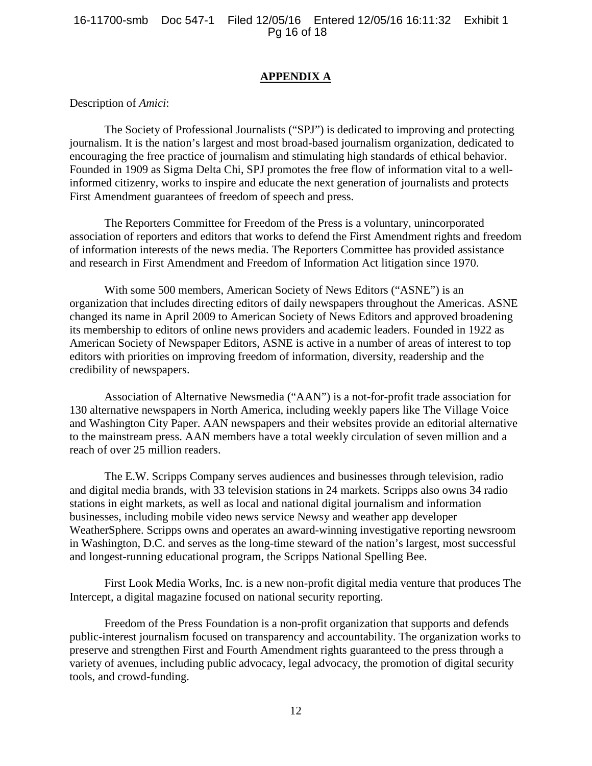## **APPENDIX A**

Description of *Amici*:

The Society of Professional Journalists ("SPJ") is dedicated to improving and protecting journalism. It is the nation's largest and most broad-based journalism organization, dedicated to encouraging the free practice of journalism and stimulating high standards of ethical behavior. Founded in 1909 as Sigma Delta Chi, SPJ promotes the free flow of information vital to a wellinformed citizenry, works to inspire and educate the next generation of journalists and protects First Amendment guarantees of freedom of speech and press.

The Reporters Committee for Freedom of the Press is a voluntary, unincorporated association of reporters and editors that works to defend the First Amendment rights and freedom of information interests of the news media. The Reporters Committee has provided assistance and research in First Amendment and Freedom of Information Act litigation since 1970.

With some 500 members, American Society of News Editors ("ASNE") is an organization that includes directing editors of daily newspapers throughout the Americas. ASNE changed its name in April 2009 to American Society of News Editors and approved broadening its membership to editors of online news providers and academic leaders. Founded in 1922 as American Society of Newspaper Editors, ASNE is active in a number of areas of interest to top editors with priorities on improving freedom of information, diversity, readership and the credibility of newspapers.

Association of Alternative Newsmedia ("AAN") is a not-for-profit trade association for 130 alternative newspapers in North America, including weekly papers like The Village Voice and Washington City Paper. AAN newspapers and their websites provide an editorial alternative to the mainstream press. AAN members have a total weekly circulation of seven million and a reach of over 25 million readers.

The E.W. Scripps Company serves audiences and businesses through television, radio and digital media brands, with 33 television stations in 24 markets. Scripps also owns 34 radio stations in eight markets, as well as local and national digital journalism and information businesses, including mobile video news service Newsy and weather app developer WeatherSphere. Scripps owns and operates an award-winning investigative reporting newsroom in Washington, D.C. and serves as the long-time steward of the nation's largest, most successful and longest-running educational program, the Scripps National Spelling Bee.

First Look Media Works, Inc. is a new non-profit digital media venture that produces The Intercept, a digital magazine focused on national security reporting.

Freedom of the Press Foundation is a non-profit organization that supports and defends public-interest journalism focused on transparency and accountability. The organization works to preserve and strengthen First and Fourth Amendment rights guaranteed to the press through a variety of avenues, including public advocacy, legal advocacy, the promotion of digital security tools, and crowd-funding.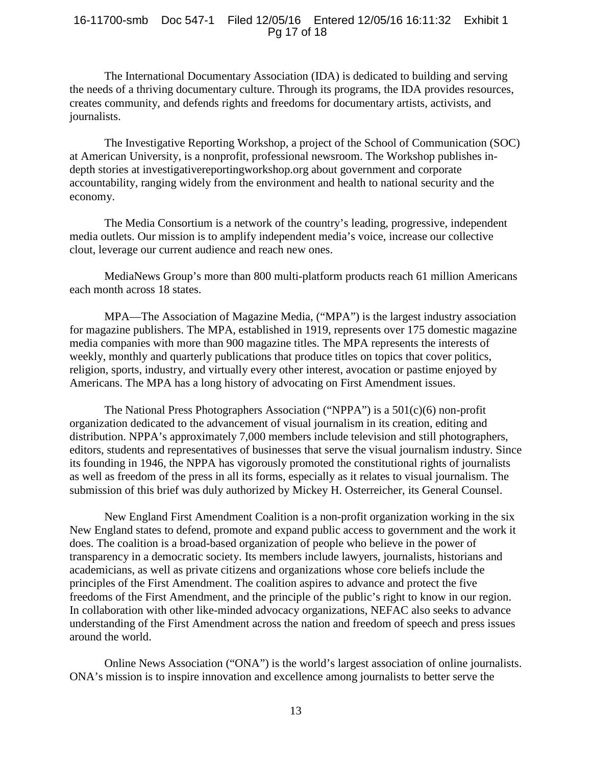## 16-11700-smb Doc 547-1 Filed 12/05/16 Entered 12/05/16 16:11:32 Exhibit 1 Pg 17 of 18

The International Documentary Association (IDA) is dedicated to building and serving the needs of a thriving documentary culture. Through its programs, the IDA provides resources, creates community, and defends rights and freedoms for documentary artists, activists, and journalists.

The Investigative Reporting Workshop, a project of the School of Communication (SOC) at American University, is a nonprofit, professional newsroom. The Workshop publishes indepth stories at investigativereportingworkshop.org about government and corporate accountability, ranging widely from the environment and health to national security and the economy.

The Media Consortium is a network of the country's leading, progressive, independent media outlets. Our mission is to amplify independent media's voice, increase our collective clout, leverage our current audience and reach new ones.

MediaNews Group's more than 800 multi-platform products reach 61 million Americans each month across 18 states.

MPA—The Association of Magazine Media, ("MPA") is the largest industry association for magazine publishers. The MPA, established in 1919, represents over 175 domestic magazine media companies with more than 900 magazine titles. The MPA represents the interests of weekly, monthly and quarterly publications that produce titles on topics that cover politics, religion, sports, industry, and virtually every other interest, avocation or pastime enjoyed by Americans. The MPA has a long history of advocating on First Amendment issues.

The National Press Photographers Association ("NPPA") is a 501(c)(6) non-profit organization dedicated to the advancement of visual journalism in its creation, editing and distribution. NPPA's approximately 7,000 members include television and still photographers, editors, students and representatives of businesses that serve the visual journalism industry. Since its founding in 1946, the NPPA has vigorously promoted the constitutional rights of journalists as well as freedom of the press in all its forms, especially as it relates to visual journalism. The submission of this brief was duly authorized by Mickey H. Osterreicher, its General Counsel.

New England First Amendment Coalition is a non-profit organization working in the six New England states to defend, promote and expand public access to government and the work it does. The coalition is a broad-based organization of people who believe in the power of transparency in a democratic society. Its members include lawyers, journalists, historians and academicians, as well as private citizens and organizations whose core beliefs include the principles of the First Amendment. The coalition aspires to advance and protect the five freedoms of the First Amendment, and the principle of the public's right to know in our region. In collaboration with other like-minded advocacy organizations, NEFAC also seeks to advance understanding of the First Amendment across the nation and freedom of speech and press issues around the world.

Online News Association ("ONA") is the world's largest association of online journalists. ONA's mission is to inspire innovation and excellence among journalists to better serve the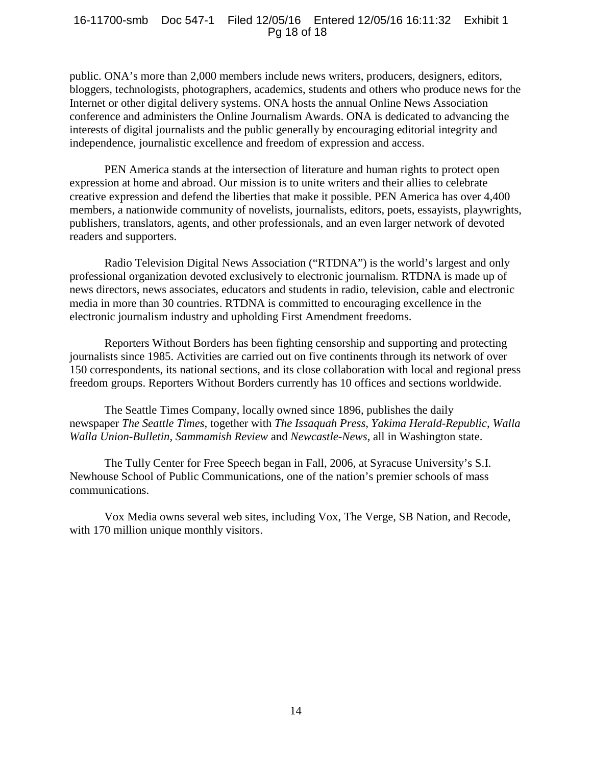#### 16-11700-smb Doc 547-1 Filed 12/05/16 Entered 12/05/16 16:11:32 Exhibit 1 Pg 18 of 18

public. ONA's more than 2,000 members include news writers, producers, designers, editors, bloggers, technologists, photographers, academics, students and others who produce news for the Internet or other digital delivery systems. ONA hosts the annual Online News Association conference and administers the Online Journalism Awards. ONA is dedicated to advancing the interests of digital journalists and the public generally by encouraging editorial integrity and independence, journalistic excellence and freedom of expression and access.

PEN America stands at the intersection of literature and human rights to protect open expression at home and abroad. Our mission is to unite writers and their allies to celebrate creative expression and defend the liberties that make it possible. PEN America has over 4,400 members, a nationwide community of novelists, journalists, editors, poets, essayists, playwrights, publishers, translators, agents, and other professionals, and an even larger network of devoted readers and supporters.

Radio Television Digital News Association ("RTDNA") is the world's largest and only professional organization devoted exclusively to electronic journalism. RTDNA is made up of news directors, news associates, educators and students in radio, television, cable and electronic media in more than 30 countries. RTDNA is committed to encouraging excellence in the electronic journalism industry and upholding First Amendment freedoms.

Reporters Without Borders has been fighting censorship and supporting and protecting journalists since 1985. Activities are carried out on five continents through its network of over 150 correspondents, its national sections, and its close collaboration with local and regional press freedom groups. Reporters Without Borders currently has 10 offices and sections worldwide.

The Seattle Times Company, locally owned since 1896, publishes the daily newspaper *The Seattle Times*, together with *The Issaquah Press*, *Yakima Herald-Republic*, *Walla Walla Union-Bulletin*, *Sammamish Review* and *Newcastle-News*, all in Washington state.

The Tully Center for Free Speech began in Fall, 2006, at Syracuse University's S.I. Newhouse School of Public Communications, one of the nation's premier schools of mass communications.

Vox Media owns several web sites, including Vox, The Verge, SB Nation, and Recode, with 170 million unique monthly visitors.